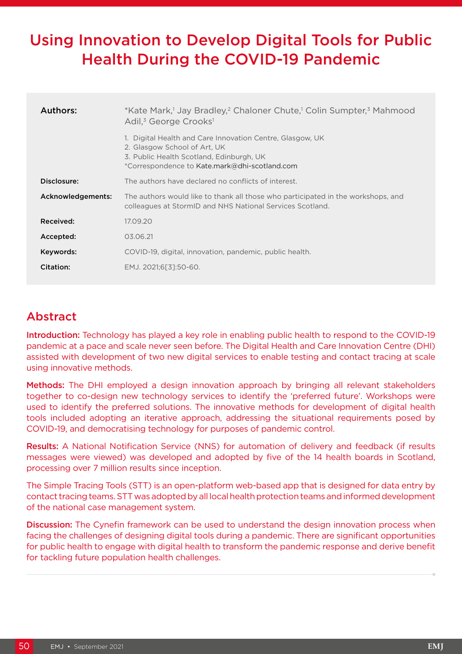# Using Innovation to Develop Digital Tools for Public Health During the COVID-19 Pandemic

| Authors:          | *Kate Mark, <sup>1</sup> Jay Bradley, <sup>2</sup> Chaloner Chute, <sup>1</sup> Colin Sumpter, <sup>3</sup> Mahmood<br>Adil, <sup>3</sup> George Crooks <sup>1</sup>                |  |
|-------------------|-------------------------------------------------------------------------------------------------------------------------------------------------------------------------------------|--|
|                   | Digital Health and Care Innovation Centre, Glasgow, UK<br>2. Glasgow School of Art, UK<br>3. Public Health Scotland, Edinburgh, UK<br>*Correspondence to Kate.mark@dhi-scotland.com |  |
| Disclosure:       | The authors have declared no conflicts of interest.                                                                                                                                 |  |
| Acknowledgements: | The authors would like to thank all those who participated in the workshops, and<br>colleagues at StormID and NHS National Services Scotland.                                       |  |
| Received:         | 17.09.20                                                                                                                                                                            |  |
| Accepted:         | 03.06.21                                                                                                                                                                            |  |
| Keywords:         | COVID-19, digital, innovation, pandemic, public health.                                                                                                                             |  |
| Citation:         | EMJ. 2021;6[3]:50-60.                                                                                                                                                               |  |

# Abstract

Introduction: Technology has played a key role in enabling public health to respond to the COVID-19 pandemic at a pace and scale never seen before. The Digital Health and Care Innovation Centre (DHI) assisted with development of two new digital services to enable testing and contact tracing at scale using innovative methods.

Methods: The DHI employed a design innovation approach by bringing all relevant stakeholders together to co-design new technology services to identify the 'preferred future'. Workshops were used to identify the preferred solutions. The innovative methods for development of digital health tools included adopting an iterative approach, addressing the situational requirements posed by COVID-19, and democratising technology for purposes of pandemic control.

Results: A National Notification Service (NNS) for automation of delivery and feedback (if results messages were viewed) was developed and adopted by five of the 14 health boards in Scotland, processing over 7 million results since inception.

The Simple Tracing Tools (STT) is an open-platform web-based app that is designed for data entry by contact tracing teams. STT was adopted by all local health protection teams and informed development of the national case management system.

**Discussion:** The Cynefin framework can be used to understand the design innovation process when facing the challenges of designing digital tools during a pandemic. There are significant opportunities for public health to engage with digital health to transform the pandemic response and derive benefit for tackling future population health challenges.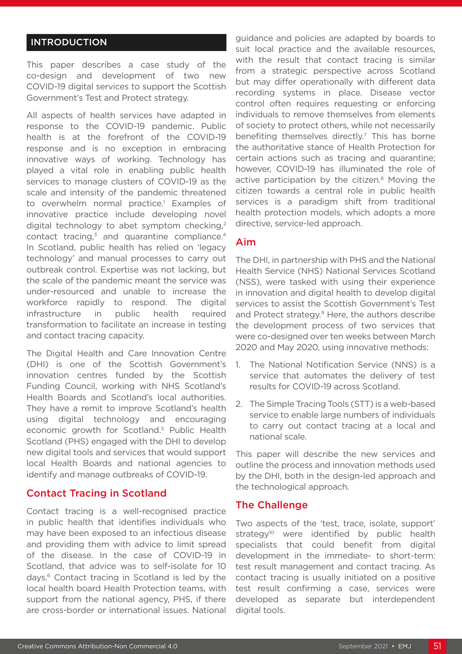# INTRODUCTION

This paper describes a case study of the co-design and development of two new COVID-19 digital services to support the Scottish Government's Test and Protect strategy.

All aspects of health services have adapted in response to the COVID-19 pandemic. Public health is at the forefront of the COVID-19 response and is no exception in embracing innovative ways of working. Technology has played a vital role in enabling public health services to manage clusters of COVID-19 as the scale and intensity of the pandemic threatened to overwhelm normal practice.<sup>1</sup> Examples of innovative practice include developing novel digital technology to abet symptom checking.<sup>2</sup> contact tracing, $3$  and quarantine compliance. $4$ In Scotland, public health has relied on 'legacy technology' and manual processes to carry out outbreak control. Expertise was not lacking, but the scale of the pandemic meant the service was under-resourced and unable to increase the workforce rapidly to respond. The digital infrastructure in public health required transformation to facilitate an increase in testing and contact tracing capacity.

The Digital Health and Care Innovation Centre (DHI) is one of the Scottish Government's innovation centres funded by the Scottish Funding Council, working with NHS Scotland's Health Boards and Scotland's local authorities. They have a remit to improve Scotland's health using digital technology and encouraging economic growth for Scotland.5 Public Health Scotland (PHS) engaged with the DHI to develop new digital tools and services that would support local Health Boards and national agencies to identify and manage outbreaks of COVID-19.

### Contact Tracing in Scotland

Contact tracing is a well-recognised practice in public health that identifies individuals who may have been exposed to an infectious disease and providing them with advice to limit spread of the disease. In the case of COVID-19 in Scotland, that advice was to self-isolate for 10 days.6 Contact tracing in Scotland is led by the local health board Health Protection teams, with support from the national agency, PHS, if there are cross-border or international issues. National

guidance and policies are adapted by boards to suit local practice and the available resources, with the result that contact tracing is similar from a strategic perspective across Scotland but may differ operationally with different data recording systems in place. Disease vector control often requires requesting or enforcing individuals to remove themselves from elements of society to protect others, while not necessarily benefiting themselves directly.<sup>7</sup> This has borne the authoritative stance of Health Protection for certain actions such as tracing and quarantine; however, COVID-19 has illuminated the role of active participation by the citizen.<sup>8</sup> Moving the citizen towards a central role in public health services is a paradigm shift from traditional health protection models, which adopts a more directive, service-led approach.

### Aim

The DHI, in partnership with PHS and the National Health Service (NHS) National Services Scotland (NSS), were tasked with using their experience in innovation and digital health to develop digital services to assist the Scottish Government's Test and Protect strategy.<sup>9</sup> Here, the authors describe the development process of two services that were co-designed over ten weeks between March 2020 and May 2020, using innovative methods:

- 1. The National Notification Service (NNS) is a service that automates the delivery of test results for COVID-19 across Scotland.
- 2. The Simple Tracing Tools (STT) is a web-based service to enable large numbers of individuals to carry out contact tracing at a local and national scale.

This paper will describe the new services and outline the process and innovation methods used by the DHI, both in the design-led approach and the technological approach.

### The Challenge

Two aspects of the 'test, trace, isolate, support' strategy<sup>10</sup> were identified by public health specialists that could benefit from digital development in the immediate- to short-term: test result management and contact tracing. As contact tracing is usually initiated on a positive test result confirming a case, services were developed as separate but interdependent digital tools.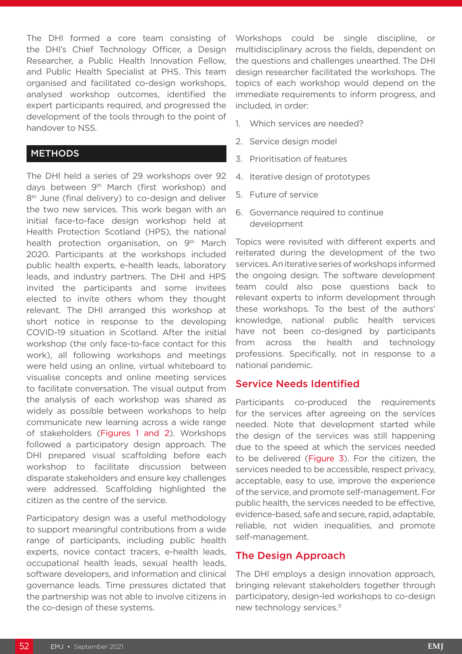The DHI formed a core team consisting of the DHI's Chief Technology Officer, a Design Researcher, a Public Health Innovation Fellow, and Public Health Specialist at PHS. This team organised and facilitated co-design workshops, analysed workshop outcomes, identified the expert participants required, and progressed the development of the tools through to the point of handover to NSS.

#### **METHODS**

The DHI held a series of 29 workshops over 92 days between 9<sup>th</sup> March (first workshop) and 8<sup>th</sup> June (final delivery) to co-design and deliver the two new services. This work began with an initial face-to-face design workshop held at Health Protection Scotland (HPS), the national health protection organisation, on 9<sup>th</sup> March 2020. Participants at the workshops included public health experts, e-health leads, laboratory leads, and industry partners. The DHI and HPS invited the participants and some invitees elected to invite others whom they thought relevant. The DHI arranged this workshop at short notice in response to the developing COVID-19 situation in Scotland. After the initial workshop (the only face-to-face contact for this work), all following workshops and meetings were held using an online, virtual whiteboard to visualise concepts and online meeting services to facilitate conversation. The visual output from the analysis of each workshop was shared as widely as possible between workshops to help communicate new learning across a wide range of stakeholders (Figures 1 and 2). Workshops followed a participatory design approach. The DHI prepared visual scaffolding before each workshop to facilitate discussion between disparate stakeholders and ensure key challenges were addressed. Scaffolding highlighted the citizen as the centre of the service.

Participatory design was a useful methodology to support meaningful contributions from a wide range of participants, including public health experts, novice contact tracers, e-health leads, occupational health leads, sexual health leads, software developers, and information and clinical governance leads. Time pressures dictated that the partnership was not able to involve citizens in the co-design of these systems.

Workshops could be single discipline, or multidisciplinary across the fields, dependent on the questions and challenges unearthed. The DHI design researcher facilitated the workshops. The topics of each workshop would depend on the immediate requirements to inform progress, and included, in order:

- 1. Which services are needed?
- 2. Service design model
- 3. Prioritisation of features
- 4. Iterative design of prototypes
- 5. Future of service
- 6. Governance required to continue development

Topics were revisited with different experts and reiterated during the development of the two services. An iterative series of workshops informed the ongoing design. The software development team could also pose questions back to relevant experts to inform development through these workshops. To the best of the authors' knowledge, national public health services have not been co-designed by participants from across the health and technology professions. Specifically, not in response to a national pandemic.

### Service Needs Identified

Participants co-produced the requirements for the services after agreeing on the services needed. Note that development started while the design of the services was still happening due to the speed at which the services needed to be delivered (Figure 3). For the citizen, the services needed to be accessible, respect privacy, acceptable, easy to use, improve the experience of the service, and promote self-management. For public health, the services needed to be effective, evidence-based, safe and secure, rapid, adaptable, reliable, not widen inequalities, and promote self-management.

### The Design Approach

The DHI employs a design innovation approach, bringing relevant stakeholders together through participatory, design-led workshops to co-design new technology services.<sup>11</sup>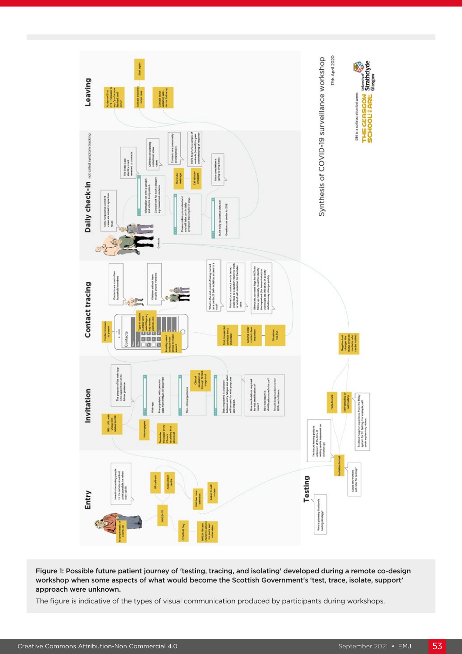

Figure 1: Possible future patient journey of 'testing, tracing, and isolating' developed during a remote co-design workshop when some aspects of what would become the Scottish Government's 'test, trace, isolate, support' approach were unknown.

The figure is indicative of the types of visual communication produced by participants during workshops.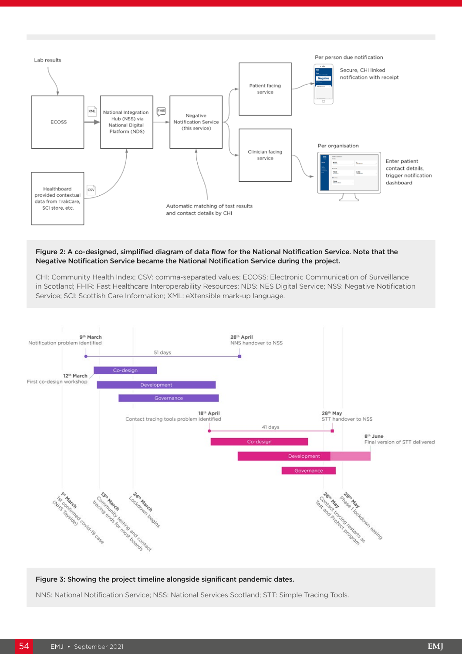

#### Figure 2: A co-designed, simplified diagram of data flow for the National Notification Service. Note that the Negative Notification Service became the National Notification Service during the project.

CHI: Community Health Index; CSV: comma-separated values; ECOSS: Electronic Communication of Surveillance in Scotland; FHIR: Fast Healthcare Interoperability Resources; NDS: NES Digital Service; NSS: Negative Notification Service; SCI: Scottish Care Information; XML: eXtensible mark-up language.



#### Figure 3: Showing the project timeline alongside significant pandemic dates.

NNS: National Notification Service; NSS: National Services Scotland; STT: Simple Tracing Tools.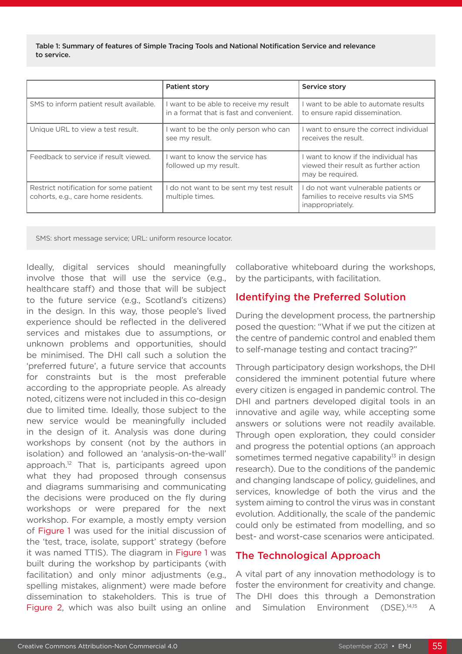Table 1: Summary of features of Simple Tracing Tools and National Notification Service and relevance to service.

|                                                                               | <b>Patient story</b>                                                               | Service story                                                                                   |
|-------------------------------------------------------------------------------|------------------------------------------------------------------------------------|-------------------------------------------------------------------------------------------------|
| SMS to inform patient result available.                                       | I want to be able to receive my result<br>in a format that is fast and convenient. | want to be able to automate results<br>to ensure rapid dissemination.                           |
| Unique URL to view a test result.                                             | I want to be the only person who can<br>see my result.                             | want to ensure the correct individual<br>receives the result.                                   |
| Feedback to service if result viewed.                                         | I want to know the service has<br>followed up my result.                           | want to know if the individual has<br>viewed their result as further action<br>may be required. |
| Restrict notification for some patient<br>cohorts, e.g., care home residents. | I do not want to be sent my test result<br>multiple times.                         | do not want vulnerable patients or<br>families to receive results via SMS<br>inappropriately.   |

SMS: short message service; URL: uniform resource locator.

Ideally, digital services should meaningfully involve those that will use the service (e.g., healthcare staff) and those that will be subject to the future service (e.g., Scotland's citizens) in the design. In this way, those people's lived experience should be reflected in the delivered services and mistakes due to assumptions, or unknown problems and opportunities, should be minimised. The DHI call such a solution the 'preferred future', a future service that accounts for constraints but is the most preferable according to the appropriate people. As already noted, citizens were not included in this co-design due to limited time. Ideally, those subject to the new service would be meaningfully included in the design of it. Analysis was done during workshops by consent (not by the authors in isolation) and followed an 'analysis-on-the-wall' approach.12 That is, participants agreed upon what they had proposed through consensus and diagrams summarising and communicating the decisions were produced on the fly during workshops or were prepared for the next workshop. For example, a mostly empty version of Figure 1 was used for the initial discussion of the 'test, trace, isolate, support' strategy (before it was named TTIS). The diagram in Figure 1 was built during the workshop by participants (with facilitation) and only minor adjustments (e.g., spelling mistakes, alignment) were made before dissemination to stakeholders. This is true of Figure 2, which was also built using an online

collaborative whiteboard during the workshops, by the participants, with facilitation.

#### Identifying the Preferred Solution

During the development process, the partnership posed the question: "What if we put the citizen at the centre of pandemic control and enabled them to self-manage testing and contact tracing?"

Through participatory design workshops, the DHI considered the imminent potential future where every citizen is engaged in pandemic control. The DHI and partners developed digital tools in an innovative and agile way, while accepting some answers or solutions were not readily available. Through open exploration, they could consider and progress the potential options (an approach sometimes termed negative capability<sup>13</sup> in design research). Due to the conditions of the pandemic and changing landscape of policy, guidelines, and services, knowledge of both the virus and the system aiming to control the virus was in constant evolution. Additionally, the scale of the pandemic could only be estimated from modelling, and so best- and worst-case scenarios were anticipated.

# The Technological Approach

A vital part of any innovation methodology is to foster the environment for creativity and change. The DHI does this through a Demonstration and Simulation Environment (DSE).14,15 A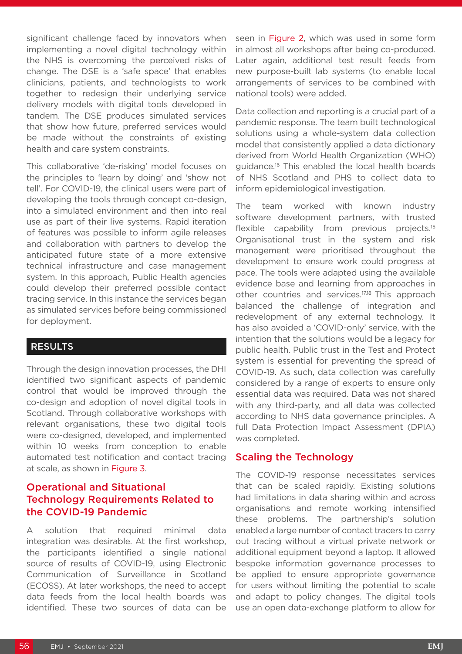significant challenge faced by innovators when implementing a novel digital technology within the NHS is overcoming the perceived risks of change. The DSE is a 'safe space' that enables clinicians, patients, and technologists to work together to redesign their underlying service delivery models with digital tools developed in tandem. The DSE produces simulated services that show how future, preferred services would be made without the constraints of existing health and care system constraints.

This collaborative 'de-risking' model focuses on the principles to 'learn by doing' and 'show not tell'. For COVID-19, the clinical users were part of developing the tools through concept co-design, into a simulated environment and then into real use as part of their live systems. Rapid iteration of features was possible to inform agile releases and collaboration with partners to develop the anticipated future state of a more extensive technical infrastructure and case management system. In this approach, Public Health agencies could develop their preferred possible contact tracing service. In this instance the services began as simulated services before being commissioned for deployment.

### RESULTS

Through the design innovation processes, the DHI identified two significant aspects of pandemic control that would be improved through the co-design and adoption of novel digital tools in Scotland. Through collaborative workshops with relevant organisations, these two digital tools were co-designed, developed, and implemented within 10 weeks from conception to enable automated test notification and contact tracing at scale, as shown in Figure 3.

# Operational and Situational Technology Requirements Related to the COVID-19 Pandemic

A solution that required minimal data integration was desirable. At the first workshop, the participants identified a single national source of results of COVID-19, using Electronic Communication of Surveillance in Scotland (ECOSS). At later workshops, the need to accept data feeds from the local health boards was identified. These two sources of data can be

seen in Figure 2, which was used in some form in almost all workshops after being co-produced. Later again, additional test result feeds from new purpose-built lab systems (to enable local arrangements of services to be combined with national tools) were added.

Data collection and reporting is a crucial part of a pandemic response. The team built technological solutions using a whole-system data collection model that consistently applied a data dictionary derived from World Health Organization (WHO) guidance.16 This enabled the local health boards of NHS Scotland and PHS to collect data to inform epidemiological investigation.

The team worked with known industry software development partners, with trusted flexible capability from previous projects.15 Organisational trust in the system and risk management were prioritised throughout the development to ensure work could progress at pace. The tools were adapted using the available evidence base and learning from approaches in other countries and services.<sup>17,18</sup> This approach balanced the challenge of integration and redevelopment of any external technology. It has also avoided a 'COVID-only' service, with the intention that the solutions would be a legacy for public health. Public trust in the Test and Protect system is essential for preventing the spread of COVID-19. As such, data collection was carefully considered by a range of experts to ensure only essential data was required. Data was not shared with any third-party, and all data was collected according to NHS data governance principles. A full Data Protection Impact Assessment (DPIA) was completed.

### Scaling the Technology

The COVID-19 response necessitates services that can be scaled rapidly. Existing solutions had limitations in data sharing within and across organisations and remote working intensified these problems. The partnership's solution enabled a large number of contact tracers to carry out tracing without a virtual private network or additional equipment beyond a laptop. It allowed bespoke information governance processes to be applied to ensure appropriate governance for users without limiting the potential to scale and adapt to policy changes. The digital tools use an open data-exchange platform to allow for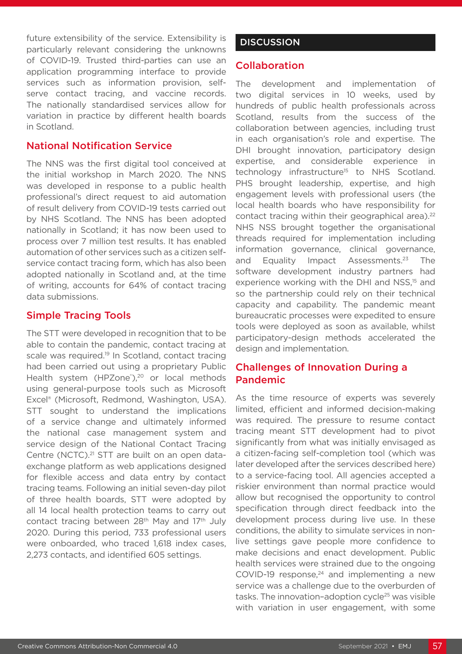future extensibility of the service. Extensibility is particularly relevant considering the unknowns of COVID-19. Trusted third-parties can use an application programming interface to provide services such as information provision, selfserve contact tracing, and vaccine records. The nationally standardised services allow for variation in practice by different health boards in Scotland.

## National Notification Service

The NNS was the first digital tool conceived at the initial workshop in March 2020. The NNS was developed in response to a public health professional's direct request to aid automation of result delivery from COVID-19 tests carried out by NHS Scotland. The NNS has been adopted nationally in Scotland; it has now been used to process over 7 million test results. It has enabled automation of other services such as a citizen selfservice contact tracing form, which has also been adopted nationally in Scotland and, at the time of writing, accounts for 64% of contact tracing data submissions.

# Simple Tracing Tools

The STT were developed in recognition that to be able to contain the pandemic, contact tracing at scale was required.<sup>19</sup> In Scotland, contact tracing had been carried out using a proprietary Public Health system (HPZone®),<sup>20</sup> or local methods using general-purpose tools such as Microsoft Excel® (Microsoft, Redmond, Washington, USA). STT sought to understand the implications of a service change and ultimately informed the national case management system and service design of the National Contact Tracing Centre (NCTC).<sup>21</sup> STT are built on an open dataexchange platform as web applications designed for flexible access and data entry by contact tracing teams. Following an initial seven-day pilot of three health boards, STT were adopted by all 14 local health protection teams to carry out contact tracing between 28<sup>th</sup> May and 17<sup>th</sup> July 2020. During this period, 733 professional users were onboarded, who traced 1,618 index cases, 2,273 contacts, and identified 605 settings.

# **DISCUSSION**

# Collaboration

The development and implementation of two digital services in 10 weeks, used by hundreds of public health professionals across Scotland, results from the success of the collaboration between agencies, including trust in each organisation's role and expertise. The DHI brought innovation, participatory design expertise, and considerable experience in technology infrastructure<sup>15</sup> to NHS Scotland. PHS brought leadership, expertise, and high engagement levels with professional users (the local health boards who have responsibility for contact tracing within their geographical area).<sup>22</sup> NHS NSS brought together the organisational threads required for implementation including information governance, clinical governance, and Equality Impact Assessments.<sup>23</sup> The software development industry partners had experience working with the DHI and NSS,<sup>15</sup> and so the partnership could rely on their technical capacity and capability. The pandemic meant bureaucratic processes were expedited to ensure tools were deployed as soon as available, whilst participatory-design methods accelerated the design and implementation.

# Challenges of Innovation During a Pandemic

As the time resource of experts was severely limited, efficient and informed decision-making was required. The pressure to resume contact tracing meant STT development had to pivot significantly from what was initially envisaged as a citizen-facing self-completion tool (which was later developed after the services described here) to a service-facing tool. All agencies accepted a riskier environment than normal practice would allow but recognised the opportunity to control specification through direct feedback into the development process during live use. In these conditions, the ability to simulate services in nonlive settings gave people more confidence to make decisions and enact development. Public health services were strained due to the ongoing COVID-19  $response<sub>24</sub>$  and implementing a new service was a challenge due to the overburden of tasks. The innovation-adoption cycle<sup>25</sup> was visible with variation in user engagement, with some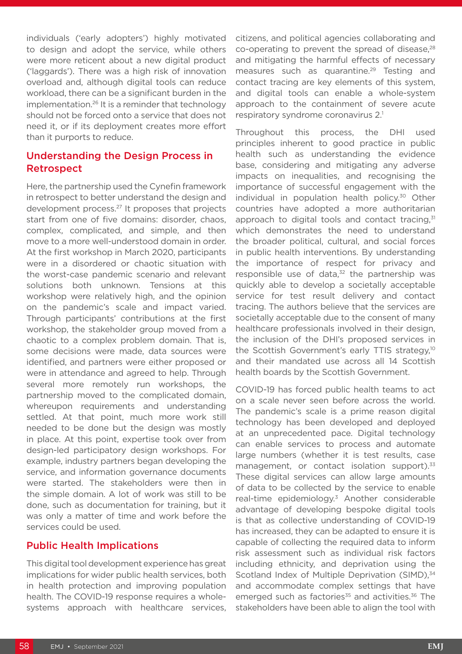individuals ('early adopters') highly motivated to design and adopt the service, while others were more reticent about a new digital product ('laggards'). There was a high risk of innovation overload and, although digital tools can reduce workload, there can be a significant burden in the implementation.26 It is a reminder that technology should not be forced onto a service that does not need it, or if its deployment creates more effort than it purports to reduce.

# Understanding the Design Process in Retrospect

Here, the partnership used the Cynefin framework in retrospect to better understand the design and development process.27 It proposes that projects start from one of five domains: disorder, chaos, complex, complicated, and simple, and then move to a more well-understood domain in order. At the first workshop in March 2020, participants were in a disordered or chaotic situation with the worst-case pandemic scenario and relevant solutions both unknown. Tensions at this workshop were relatively high, and the opinion on the pandemic's scale and impact varied. Through participants' contributions at the first workshop, the stakeholder group moved from a chaotic to a complex problem domain. That is, some decisions were made, data sources were identified, and partners were either proposed or were in attendance and agreed to help. Through several more remotely run workshops, the partnership moved to the complicated domain, whereupon requirements and understanding settled. At that point, much more work still needed to be done but the design was mostly in place. At this point, expertise took over from design-led participatory design workshops. For example, industry partners began developing the service, and information governance documents were started. The stakeholders were then in the simple domain. A lot of work was still to be done, such as documentation for training, but it was only a matter of time and work before the services could be used.

# Public Health Implications

This digital tool development experience has great implications for wider public health services, both in health protection and improving population health. The COVID-19 response requires a wholesystems approach with healthcare services,

citizens, and political agencies collaborating and co-operating to prevent the spread of disease, $28$ and mitigating the harmful effects of necessary measures such as quarantine.<sup>29</sup> Testing and contact tracing are key elements of this system, and digital tools can enable a whole-system approach to the containment of severe acute respiratory syndrome coronavirus 2.1

Throughout this process, the DHI used principles inherent to good practice in public health such as understanding the evidence base, considering and mitigating any adverse impacts on inequalities, and recognising the importance of successful engagement with the individual in population health policy.<sup>30</sup> Other countries have adopted a more authoritarian approach to digital tools and contact tracing, $31$ which demonstrates the need to understand the broader political, cultural, and social forces in public health interventions. By understanding the importance of respect for privacy and responsible use of data, $32$  the partnership was quickly able to develop a societally acceptable service for test result delivery and contact tracing. The authors believe that the services are societally acceptable due to the consent of many healthcare professionals involved in their design, the inclusion of the DHI's proposed services in the Scottish Government's early TTIS strategy,10 and their mandated use across all 14 Scottish health boards by the Scottish Government.

COVID-19 has forced public health teams to act on a scale never seen before across the world. The pandemic's scale is a prime reason digital technology has been developed and deployed at an unprecedented pace. Digital technology can enable services to process and automate large numbers (whether it is test results, case management, or contact isolation support).<sup>33</sup> These digital services can allow large amounts of data to be collected by the service to enable real-time epidemiology.3 Another considerable advantage of developing bespoke digital tools is that as collective understanding of COVID-19 has increased, they can be adapted to ensure it is capable of collecting the required data to inform risk assessment such as individual risk factors including ethnicity, and deprivation using the Scotland Index of Multiple Deprivation (SIMD).<sup>34</sup> and accommodate complex settings that have emerged such as factories<sup>35</sup> and activities.<sup>36</sup> The stakeholders have been able to align the tool with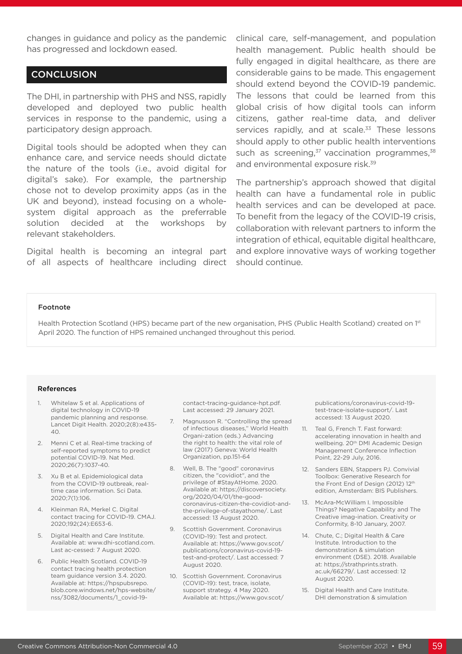changes in guidance and policy as the pandemic has progressed and lockdown eased.

#### **CONCLUSION**

The DHI, in partnership with PHS and NSS, rapidly developed and deployed two public health services in response to the pandemic, using a participatory design approach.

Digital tools should be adopted when they can enhance care, and service needs should dictate the nature of the tools (i.e., avoid digital for digital's sake). For example, the partnership chose not to develop proximity apps (as in the UK and beyond), instead focusing on a wholesystem digital approach as the preferrable solution decided at the workshops by relevant stakeholders.

Digital health is becoming an integral part of all aspects of healthcare including direct clinical care, self-management, and population health management. Public health should be fully engaged in digital healthcare, as there are considerable gains to be made. This engagement should extend beyond the COVID-19 pandemic. The lessons that could be learned from this global crisis of how digital tools can inform citizens, gather real-time data, and deliver services rapidly, and at scale.<sup>33</sup> These lessons should apply to other public health interventions such as screening, $37$  vaccination programmes, $38$ and environmental exposure risk.39

The partnership's approach showed that digital health can have a fundamental role in public health services and can be developed at pace. To benefit from the legacy of the COVID-19 crisis, collaboration with relevant partners to inform the integration of ethical, equitable digital healthcare, and explore innovative ways of working together should continue.

#### Footnote

Health Protection Scotland (HPS) became part of the new organisation, PHS (Public Health Scotland) created on 1st April 2020. The function of HPS remained unchanged throughout this period.

#### References

- 1. Whitelaw S et al. Applications of digital technology in COVID-19 pandemic planning and response. Lancet Digit Health. 2020;2(8):e435-  $40.$
- 2. Menni C et al. Real-time tracking of self-reported symptoms to predict potential COVID-19. Nat Med. 2020;26(7):1037-40.
- 3. Xu B et al. Epidemiological data from the COVID-19 outbreak, realtime case information. Sci Data. 2020;7(1):106.
- 4. Kleinman RA, Merkel C. Digital contact tracing for COVID-19. CMAJ. 2020;192(24):E653-6.
- 5. Digital Health and Care Institute. Available at: www.dhi-scotland.com. Last ac-cessed: 7 August 2020.
- 6. Public Health Scotland. COVID-19 contact tracing health protection team guidance version 3.4. 2020. Available at: https://hpspubsrepo. blob.core.windows.net/hps-website/ nss/3082/documents/1\_covid-19-

contact-tracing-guidance-hpt.pdf. Last accessed: 29 January 2021.

- 7. Magnusson R. "Controlling the spread of infectious diseases," World Health Organi-zation (eds.) Advancing the right to health: the vital role of law (2017) Geneva: World Health Organization, pp.151-64
- 8. Well, B. The "good" coronavirus citizen, the "covidiot", and the privilege of #StayAtHome. 2020. Available at: https://discoversociety. org/2020/04/01/the-goodcoronavirus-citizen-the-covidiot-andthe-privilege-of-stayathome/. Last accessed: 13 August 2020.
- 9. Scottish Government. Coronavirus (COVID-19): Test and protect. Available at: https://www.gov.scot/ publications/coronavirus-covid-19 test-and-protect/. Last accessed: 7 August 2020.
- 10. Scottish Government. Coronavirus (COVID-19): test, trace, isolate, support strategy. 4 May 2020. Available at: https://www.gov.scot/

publications/coronavirus-covid-19 test-trace-isolate-support/. Last accessed: 13 August 2020.

- 11. Teal G, French T. Fast forward: accelerating innovation in health and wellbeing. 20<sup>th</sup> DMI Academic Design Management Conference Inflection Point, 22-29 July, 2016.
- 12. Sanders EBN, Stappers PJ. Convivial Toolbox: Generative Research for the Front End of Design (2012) 12th edition, Amsterdam: BIS Publishers.
- 13. McAra-McWilliam I. Impossible Things? Negative Capability and The Creative imag-ination. Creativity or Conformity, 8-10 January, 2007.
- 14. Chute, C.; Digital Health & Care Institute. Introduction to the demonstration & simulation environment (DSE). 2018. Available at: https://strathprints.strath. ac.uk/66279/. Last accessed: 12 August 2020.
- 15. Digital Health and Care Institute. DHI demonstration & simulation